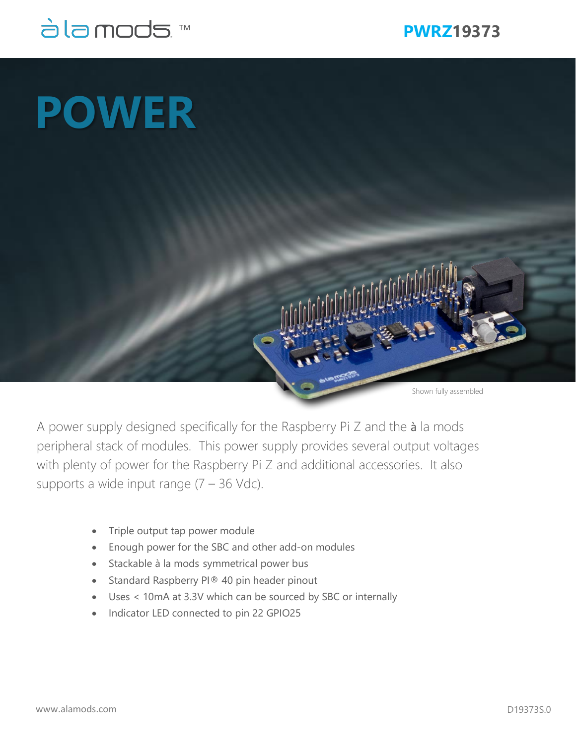

Shown fully assembled

## **POWER**

A power supply designed specifically for the Raspberry Pi Z and the à la mods peripheral stack of modules. This power supply provides several output voltages with plenty of power for the Raspberry Pi Z and additional accessories. It also supports a wide input range  $(7 - 36 \text{ Vdc})$ .

- Triple output tap power module
- Enough power for the SBC and other add-on modules
- Stackable à la mods symmetrical power bus
- Standard Raspberry PI® 40 pin header pinout
- Uses < 10mA at 3.3V which can be sourced by SBC or internally
- Indicator LED connected to pin 22 GPIO25